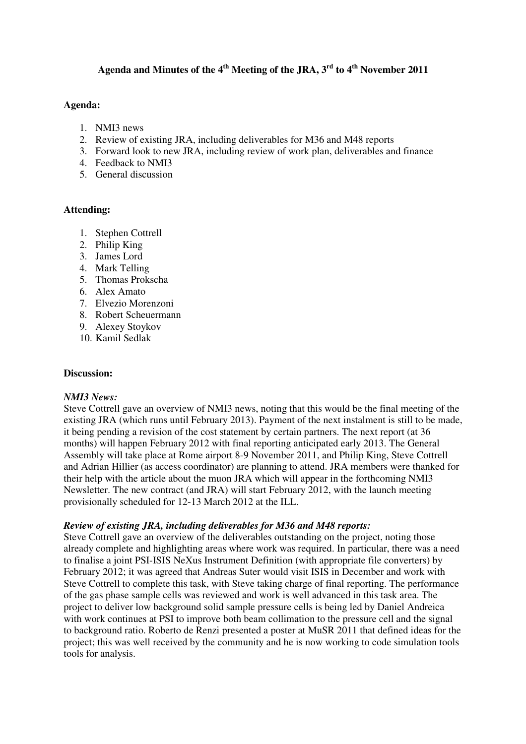# **Agenda and Minutes of the 4th Meeting of the JRA, 3rd to 4th November 2011**

### **Agenda:**

- 1. NMI3 news
- 2. Review of existing JRA, including deliverables for M36 and M48 reports
- 3. Forward look to new JRA, including review of work plan, deliverables and finance
- 4. Feedback to NMI3
- 5. General discussion

# **Attending:**

- 1. Stephen Cottrell
- 2. Philip King
- 3. James Lord
- 4. Mark Telling
- 5. Thomas Prokscha
- 6. Alex Amato
- 7. Elvezio Morenzoni
- 8. Robert Scheuermann
- 9. Alexey Stoykov
- 10. Kamil Sedlak

### **Discussion:**

### *NMI3 News:*

Steve Cottrell gave an overview of NMI3 news, noting that this would be the final meeting of the existing JRA (which runs until February 2013). Payment of the next instalment is still to be made, it being pending a revision of the cost statement by certain partners. The next report (at 36 months) will happen February 2012 with final reporting anticipated early 2013. The General Assembly will take place at Rome airport 8-9 November 2011, and Philip King, Steve Cottrell and Adrian Hillier (as access coordinator) are planning to attend. JRA members were thanked for their help with the article about the muon JRA which will appear in the forthcoming NMI3 Newsletter. The new contract (and JRA) will start February 2012, with the launch meeting provisionally scheduled for 12-13 March 2012 at the ILL.

### *Review of existing JRA, including deliverables for M36 and M48 reports:*

Steve Cottrell gave an overview of the deliverables outstanding on the project, noting those already complete and highlighting areas where work was required. In particular, there was a need to finalise a joint PSI-ISIS NeXus Instrument Definition (with appropriate file converters) by February 2012; it was agreed that Andreas Suter would visit ISIS in December and work with Steve Cottrell to complete this task, with Steve taking charge of final reporting. The performance of the gas phase sample cells was reviewed and work is well advanced in this task area. The project to deliver low background solid sample pressure cells is being led by Daniel Andreica with work continues at PSI to improve both beam collimation to the pressure cell and the signal to background ratio. Roberto de Renzi presented a poster at MuSR 2011 that defined ideas for the project; this was well received by the community and he is now working to code simulation tools tools for analysis.